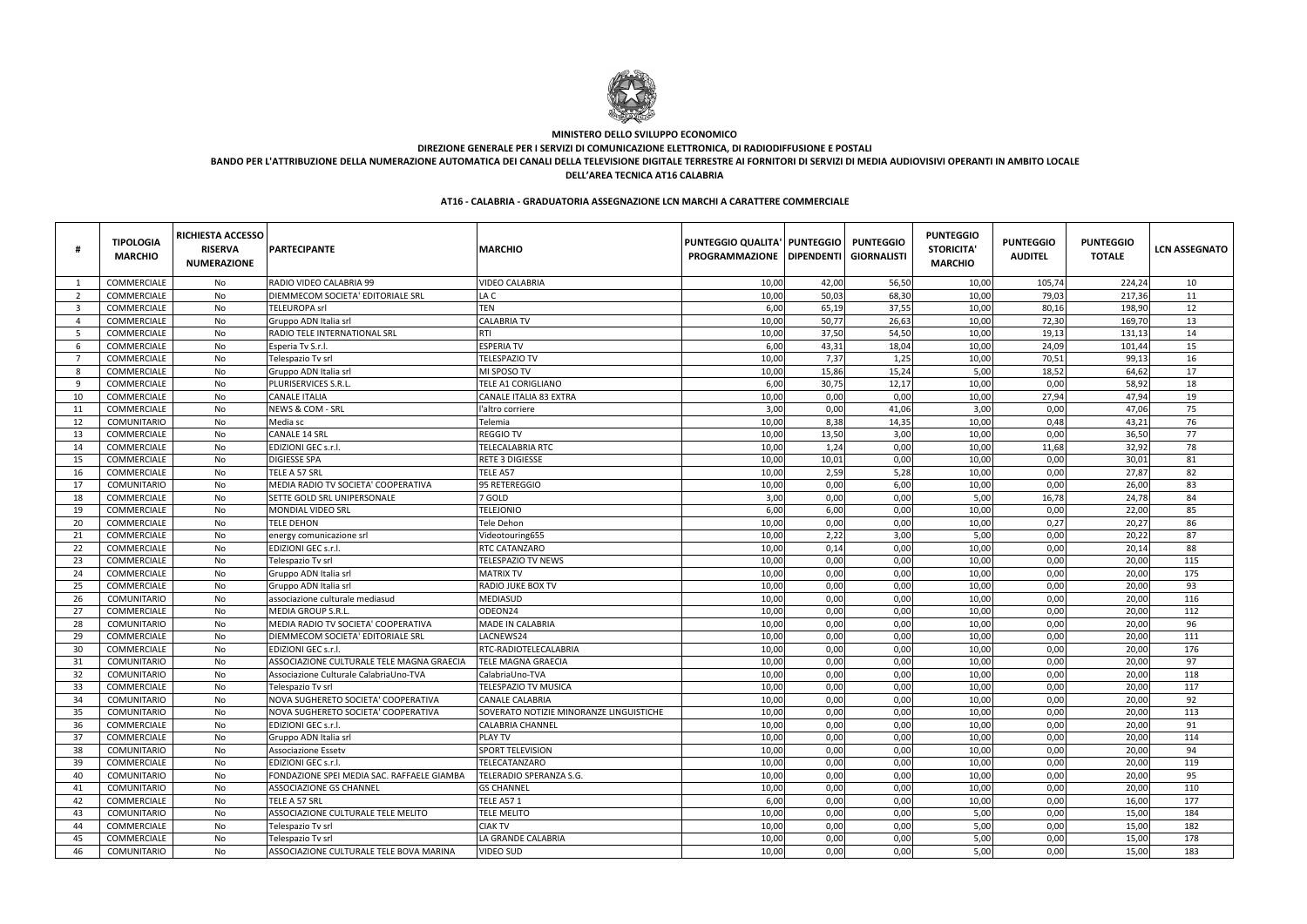|                         | <b>TIPOLOGIA</b><br><b>MARCHIO</b> | <b>RICHIESTA ACCESSO</b><br><b>RISERVA</b><br><b>NUMERAZIONE</b> | <b>PARTECIPANTE</b>                        | <b>MARCHIO</b>                          | <b>PUNTEGGIO QUALITA'   PUNTEGGIO</b><br><b>PROGRAMMAZIONE</b> | <b>DIPENDENTI</b> | <b>PUNTEGGIO</b><br><b>GIORNALISTI</b> | <b>PUNTEGGIO</b><br><b>STORICITA</b><br><b>MARCHIO</b> | <b>PUNTEGGIO</b><br><b>AUDITEL</b> | <b>PUNTEGGIO</b><br><b>TOTALE</b> | <b>LCN ASSEGNATO</b> |
|-------------------------|------------------------------------|------------------------------------------------------------------|--------------------------------------------|-----------------------------------------|----------------------------------------------------------------|-------------------|----------------------------------------|--------------------------------------------------------|------------------------------------|-----------------------------------|----------------------|
|                         | COMMERCIALE                        | No                                                               | RADIO VIDEO CALABRIA 99                    | <b>VIDEO CALABRIA</b>                   | 10,00                                                          | 42,00             | 56,50                                  | 10,00                                                  | 105,74                             | 224,24                            | 10                   |
| - 2                     | COMMERCIALE                        | No                                                               | DIEMMECOM SOCIETA' EDITORIALE SRL          | LA C                                    | 10,00                                                          | 50,03             | 68,30                                  | 10,00                                                  | 79,03                              | 217,36                            | 11                   |
| $\overline{\mathbf{3}}$ | COMMERCIALE                        | No                                                               | <b>TELEUROPA srl</b>                       | <b>TEN</b>                              | 6,00                                                           | 65,19             | 37,55                                  | 10,00                                                  | 80,16                              | 198,90                            | 12                   |
| $\overline{4}$          | COMMERCIALE                        | No                                                               | Gruppo ADN Italia srl                      | <b>CALABRIA TV</b>                      | 10,00                                                          | 50,77             | 26,63                                  | 10,00                                                  | 72,30                              | 169,70                            | 13                   |
| - 5                     | COMMERCIALE                        | No                                                               | <b>RADIO TELE INTERNATIONAL SRL</b>        | <b>RTI</b>                              | 10,00                                                          | 37,50             | 54,50                                  | 10,00                                                  | 19,13                              | 131,13                            | 14                   |
| -6                      | COMMERCIALE                        | No                                                               | Esperia Tv S.r.l.                          | <b>ESPERIA TV</b>                       | 6,00                                                           | 43,31             | 18,04                                  | 10,00                                                  | 24,09                              | 101,44                            | 15                   |
| - 7                     | <b>COMMERCIALE</b>                 | No                                                               | Telespazio Tv srl                          | <b>TELESPAZIO TV</b>                    | 10,00                                                          | 7,37              | 1,25                                   | 10,00                                                  | 70,51                              | 99,13                             | 16                   |
| - 8                     | <b>COMMERCIALE</b>                 | No                                                               | Gruppo ADN Italia srl                      | MI SPOSO TV                             | 10,00                                                          | 15,86             | 15,24                                  | 5,00                                                   | 18,52                              | 64,62                             | 17                   |
| -9                      | COMMERCIALE                        | No                                                               | PLURISERVICES S.R.L                        | <b>TELE A1 CORIGLIANO</b>               | 6,00                                                           | 30,75             | 12,17                                  | 10,00                                                  | 0,00                               | 58,92                             | 18                   |
| 10                      | <b>COMMERCIALE</b>                 | No                                                               | <b>CANALE ITALIA</b>                       | <b>CANALE ITALIA 83 EXTRA</b>           | 10,00                                                          | 0,00              | 0,00                                   | 10,00                                                  | 27,94                              | 47,94                             | 19                   |
| 11                      | COMMERCIALE                        | No                                                               | NEWS & COM - SRL                           | l'altro corriere                        | 3,00                                                           | 0,00              | 41,06                                  | 3,00                                                   | 0,00                               | 47,06                             | 75                   |
| 12                      | <b>COMUNITARIO</b>                 | No                                                               | Media sc                                   | Telemia                                 | 10,00                                                          | 8,38              | 14,35                                  | 10,00                                                  | 0,48                               | 43,21                             | 76                   |
| 13                      | COMMERCIALE                        | No                                                               | <b>CANALE 14 SRL</b>                       | <b>REGGIO TV</b>                        | 10,00                                                          | 13,50             | 3,00                                   | 10,00                                                  | 0,00                               | 36,50                             | 77                   |
| 14                      | COMMERCIALE                        | No                                                               | EDIZIONI GEC s.r.l.                        | <b>TELECALABRIA RTC</b>                 | 10,00                                                          | 1,24              | 0,00                                   | 10,00                                                  | 11,68                              | 32,92                             | 78                   |
| 15                      | COMMERCIALE                        | No                                                               | <b>DIGIESSE SPA</b>                        | <b>RETE 3 DIGIESSE</b>                  | 10,00                                                          | 10,01             | 0,00                                   | 10,00                                                  | 0,00                               | 30,01                             | 81                   |
| 16                      | COMMERCIALE                        | No                                                               | TELE A 57 SRL                              | TELE A57                                | 10,00                                                          | 2,59              | 5,28                                   | 10,00                                                  | 0,00                               | 27,87                             | 82                   |
| 17                      | <b>COMUNITARIO</b>                 | No                                                               | MEDIA RADIO TV SOCIETA' COOPERATIVA        | 95 RETEREGGIO                           | 10,00                                                          | 0,00              | 6,00                                   | 10,00                                                  | 0,00                               | 26,00                             | 83                   |
| 18                      | COMMERCIALE                        | No                                                               | SETTE GOLD SRL UNIPERSONALE                | 7 GOLD                                  | 3,00                                                           | 0,00              | 0,00                                   | 5,00                                                   | 16,78                              | 24,78                             | 84                   |
| 19                      | COMMERCIALE                        | No                                                               | <b>MONDIAL VIDEO SRL</b>                   | <b>TELEJONIO</b>                        | 6,00                                                           | 6,00              | 0,00                                   | 10,00                                                  | 0,00                               | 22,00                             | 85                   |
| 20                      | COMMERCIALE                        | No                                                               | <b>TELE DEHON</b>                          | <b>Tele Dehon</b>                       | 10,00                                                          | 0,00              | 0,00                                   | 10,00                                                  | 0,27                               | 20,27                             | 86                   |
| 21                      | COMMERCIALE                        | No                                                               | energy comunicazione srl                   | Videotouring655                         | 10,00                                                          | 2,22              | 3,00                                   | 5,00                                                   | 0,00                               | 20,22                             | 87                   |
| 22                      | COMMERCIALE                        | No                                                               | EDIZIONI GEC s.r.l.                        | <b>RTC CATANZARO</b>                    | 10,00                                                          | 0,14              | 0,00                                   | 10,00                                                  | 0,00                               | 20,14                             | 88                   |
| 23                      | COMMERCIALE                        | No                                                               | Telespazio Tv srl                          | <b>TELESPAZIO TV NEWS</b>               | 10,00                                                          | 0,00              | 0,00                                   | 10,00                                                  | 0,00                               | 20,00                             | 115                  |
| 24                      | COMMERCIALE                        | No                                                               | Gruppo ADN Italia srl                      | <b>MATRIX TV</b>                        | 10,00                                                          | 0,00              | 0,00                                   | 10,00                                                  | 0,00                               | 20,00                             | 175                  |
| 25                      | COMMERCIALE                        | No                                                               | Gruppo ADN Italia srl                      | <b>RADIO JUKE BOX TV</b>                | 10,00                                                          | 0,00              | 0,00                                   | 10,00                                                  | 0,00                               | 20,00                             | 93                   |
| 26                      | <b>COMUNITARIO</b>                 | No                                                               | associazione culturale mediasud            | <b>MEDIASUD</b>                         | 10,00                                                          | 0,00              | 0,00                                   | 10,00                                                  | 0,00                               | 20,00                             | 116                  |
| 27                      | COMMERCIALE                        | No                                                               | <b>MEDIA GROUP S.R.L</b>                   | ODEON24                                 | 10,00                                                          | 0,00              | 0,00                                   | 10,00                                                  | 0,00                               | 20,00                             | 112                  |
| 28                      | COMUNITARIO                        | No                                                               | MEDIA RADIO TV SOCIETA' COOPERATIVA        | MADE IN CALABRIA                        | 10,00                                                          | 0,00              | 0,00                                   | 10,00                                                  | 0,00                               | 20,00                             | 96                   |
| 29                      | COMMERCIALE                        | No                                                               | DIEMMECOM SOCIETA' EDITORIALE SRL          | LACNEWS24                               | 10,00                                                          | 0,00              | 0,00                                   | 10,00                                                  | 0,00                               | 20,00                             | 111                  |
| 30                      | COMMERCIALE                        | No                                                               | EDIZIONI GEC s.r.l.                        | RTC-RADIOTELECALABRIA                   | 10,00                                                          | 0,00              | 0,00                                   | 10,00                                                  | 0,00                               | 20,00                             | 176                  |
| 31                      | <b>COMUNITARIO</b>                 | No                                                               | ASSOCIAZIONE CULTURALE TELE MAGNA GRAECIA  | <b>TELE MAGNA GRAECIA</b>               | 10,00                                                          | 0,00              | 0,00                                   | 10,00                                                  | 0,00                               | 20,00                             | 97                   |
| 32                      | <b>COMUNITARIO</b>                 | No                                                               | Associazione Culturale CalabriaUno-TVA     | CalabriaUno-TVA                         | 10,00                                                          | 0,00              | 0,00                                   | 10,00                                                  | 0,00                               | 20,00                             | 118                  |
| 33                      | COMMERCIALE                        | No                                                               | Telespazio Tv srl                          | <b>TELESPAZIO TV MUSICA</b>             | 10,00                                                          | 0,00              | 0,00                                   | 10,00                                                  | 0,00                               | 20,00                             | 117                  |
| 34                      | <b>COMUNITARIO</b>                 | No                                                               | NOVA SUGHERETO SOCIETA' COOPERATIVA        | <b>CANALE CALABRIA</b>                  | 10,00                                                          | 0,00              | 0,00                                   | 10,00                                                  | 0,00                               | 20,00                             | 92                   |
| 35                      | <b>COMUNITARIO</b>                 |                                                                  | NOVA SUGHERETO SOCIETA' COOPERATIVA        | SOVERATO NOTIZIE MINORANZE LINGUISTICHE | 10,00                                                          | 0,00              | 0,00                                   | 10,00                                                  | 0,00                               | 20,00                             | 113                  |
| 36                      | COMMERCIALE                        | No.<br>No                                                        | EDIZIONI GEC s.r.l.                        | <b>CALABRIA CHANNEL</b>                 | 10,00                                                          | 0,00              | 0,00                                   | 10,00                                                  | 0,00                               | 20,00                             | 91                   |
| 37                      | COMMERCIALE                        | No                                                               | Gruppo ADN Italia srl                      | <b>PLAY TV</b>                          | 10,00                                                          | 0,00              | 0,00                                   | 10,00                                                  | 0,00                               | 20,00                             | 114                  |
| 38                      | <b>COMUNITARIO</b>                 | No                                                               | <b>Associazione Essetv</b>                 | SPORT TELEVISION                        | 10,00                                                          | 0,00              | 0,00                                   | 10,00                                                  | 0,00                               | 20,00                             | 94                   |
|                         | COMMERCIALE                        |                                                                  | <b>EDIZIONI GEC s.r.l.</b>                 | TELECATANZARO                           |                                                                |                   | 0,00                                   | 10,00                                                  |                                    |                                   | 119                  |
| 39<br>40                |                                    | No<br>No                                                         |                                            | TELERADIO SPERANZA S.G.                 | 10,00                                                          | 0,00              | 0,00                                   | 10,00                                                  | 0,00                               | 20,00<br>20,00                    | 95                   |
|                         | COMUNITARIO                        |                                                                  | FONDAZIONE SPEI MEDIA SAC. RAFFAELE GIAMBA |                                         | 10,00                                                          | 0,00              |                                        |                                                        | 0,00                               |                                   |                      |
| 41                      | COMUNITARIO<br>COMMERCIALE         | No                                                               | <b>ASSOCIAZIONE GS CHANNEL</b>             | <b>GS CHANNEL</b>                       | 10,00                                                          | 0,00              | 0,00                                   | 10,00                                                  | 0,00                               | 20,00                             | 110                  |
| 42                      |                                    | No                                                               | TELE A 57 SRL                              | <b>TELE A57 1</b>                       | 6,00                                                           | 0,00              | 0,00                                   | 10,00                                                  | 0,00                               | 16,00                             | 177                  |
| 43                      | COMUNITARIO<br>COMMERCIALE         | No                                                               | ASSOCIAZIONE CULTURALE TELE MELITO         | <b>TELE MELITO</b><br><b>CIAK TV</b>    | 10,00                                                          | 0,00              | 0,00                                   | 5,00                                                   | 0,00                               | 15,00                             | 184<br>182           |
| 44                      |                                    | No                                                               | Telespazio Tv srl                          |                                         | 10,00                                                          | 0,00              | 0,00                                   | 5,00                                                   | 0,00                               | 15,00                             |                      |
| 45                      | <b>COMMERCIALE</b>                 | No                                                               | Telespazio Tv srl                          | LA GRANDE CALABRIA                      | 10,00                                                          | 0,00              | 0,00                                   | 5,00                                                   | 0,00                               | 15,00                             | 178                  |
| 46                      | COMUNITARIO                        | No                                                               | ASSOCIAZIONE CULTURALE TELE BOVA MARINA    | <b>VIDEO SUD</b>                        | 10,00                                                          | 0,00              | 0,00                                   | 5,00                                                   | 0,00                               | 15,00                             | 183                  |

## **AT16 - CALABRIA - GRADUATORIA ASSEGNAZIONE LCN MARCHI A CARATTERE COMMERCIALE**



### **MINISTERO DELLO SVILUPPO ECONOMICO**

**DIREZIONE GENERALE PER I SERVIZI DI COMUNICAZIONE ELETTRONICA, DI RADIODIFFUSIONE E POSTALI**

**BANDO PER L'ATTRIBUZIONE DELLA NUMERAZIONE AUTOMATICA DEI CANALI DELLA TELEVISIONE DIGITALE TERRESTRE AI FORNITORI DI SERVIZI DI MEDIA AUDIOVISIVI OPERANTI IN AMBITO LOCALE**

**DELL'AREA TECNICA AT16 CALABRIA**